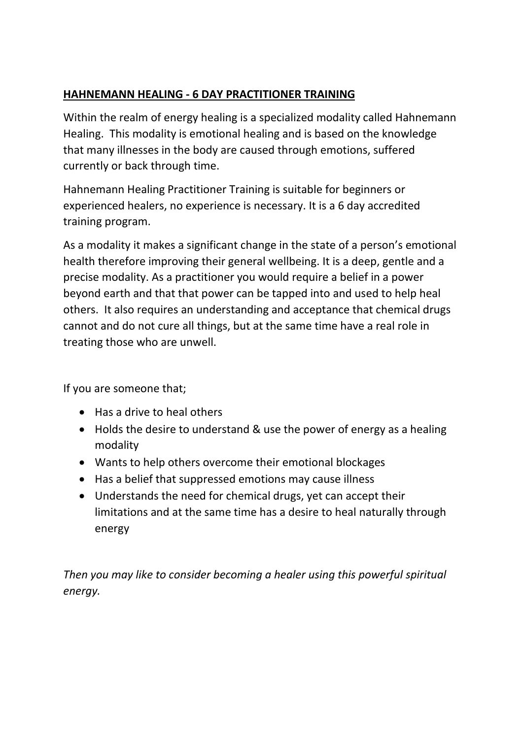## **HAHNEMANN HEALING - 6 DAY PRACTITIONER TRAINING**

Within the realm of energy healing is a specialized modality called Hahnemann Healing. This modality is emotional healing and is based on the knowledge that many illnesses in the body are caused through emotions, suffered currently or back through time.

Hahnemann Healing Practitioner Training is suitable for beginners or experienced healers, no experience is necessary. It is a 6 day accredited training program.

As a modality it makes a significant change in the state of a person's emotional health therefore improving their general wellbeing. It is a deep, gentle and a precise modality. As a practitioner you would require a belief in a power beyond earth and that that power can be tapped into and used to help heal others. It also requires an understanding and acceptance that chemical drugs cannot and do not cure all things, but at the same time have a real role in treating those who are unwell.

If you are someone that;

- Has a drive to heal others
- Holds the desire to understand & use the power of energy as a healing modality
- Wants to help others overcome their emotional blockages
- Has a belief that suppressed emotions may cause illness
- Understands the need for chemical drugs, yet can accept their limitations and at the same time has a desire to heal naturally through energy

*Then you may like to consider becoming a healer using this powerful spiritual energy.*